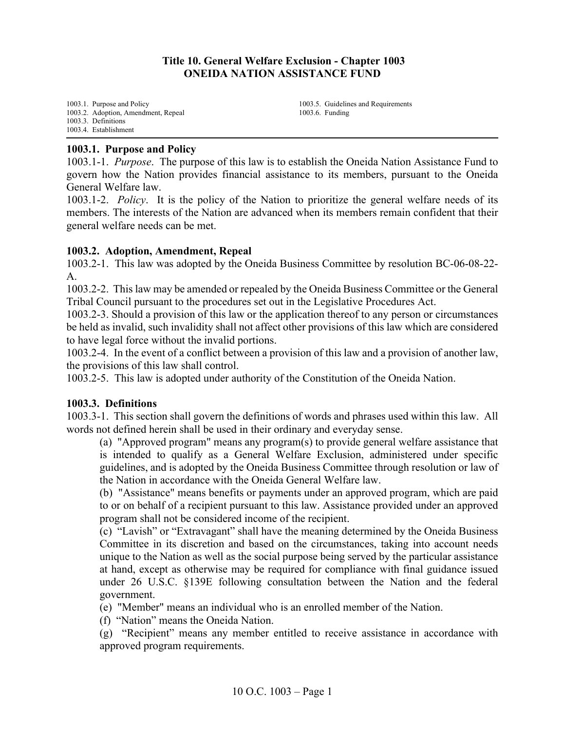## **Title 10. General Welfare Exclusion - Chapter 1003 ONEIDA NATION ASSISTANCE FUND**

[1003.1. Purpose and Policy](#page-0-0) [1003.2. Adoption, Amendment, Repeal](#page-0-1) [1003.3. Definitions](#page-0-2) [1003.4. Establishment](#page-1-0)

[1003.5. Guidelines and Requirements](#page-1-1) [1003.6. Funding](#page-3-0)

### <span id="page-0-0"></span>**1003.1. Purpose and Policy**

1003.1-1. *Purpose*. The purpose of this law is to establish the Oneida Nation Assistance Fund to govern how the Nation provides financial assistance to its members, pursuant to the Oneida General Welfare law.

1003.1-2. *Policy*. It is the policy of the Nation to prioritize the general welfare needs of its members. The interests of the Nation are advanced when its members remain confident that their general welfare needs can be met.

### <span id="page-0-1"></span>**1003.2. Adoption, Amendment, Repeal**

1003.2-1. This law was adopted by the Oneida Business Committee by resolution BC-06-08-22-  $\mathbf{A}$ .

1003.2-2. This law may be amended or repealed by the Oneida Business Committee or the General Tribal Council pursuant to the procedures set out in the Legislative Procedures Act.

1003.2-3. Should a provision of this law or the application thereof to any person or circumstances be held as invalid, such invalidity shall not affect other provisions of this law which are considered to have legal force without the invalid portions.

1003.2-4. In the event of a conflict between a provision of this law and a provision of another law, the provisions of this law shall control.

1003.2-5. This law is adopted under authority of the Constitution of the Oneida Nation.

### <span id="page-0-2"></span>**1003.3. Definitions**

1003.3-1. This section shall govern the definitions of words and phrases used within this law. All words not defined herein shall be used in their ordinary and everyday sense.

(a) "Approved program" means any program(s) to provide general welfare assistance that is intended to qualify as a General Welfare Exclusion, administered under specific guidelines, and is adopted by the Oneida Business Committee through resolution or law of the Nation in accordance with the Oneida General Welfare law.

(b) "Assistance" means benefits or payments under an approved program, which are paid to or on behalf of a recipient pursuant to this law. Assistance provided under an approved program shall not be considered income of the recipient.

(c) "Lavish" or "Extravagant" shall have the meaning determined by the Oneida Business Committee in its discretion and based on the circumstances, taking into account needs unique to the Nation as well as the social purpose being served by the particular assistance at hand, except as otherwise may be required for compliance with final guidance issued under 26 U.S.C. §139E following consultation between the Nation and the federal government.

(e) "Member" means an individual who is an enrolled member of the Nation.

(f) "Nation" means the Oneida Nation.

(g) "Recipient" means any member entitled to receive assistance in accordance with approved program requirements.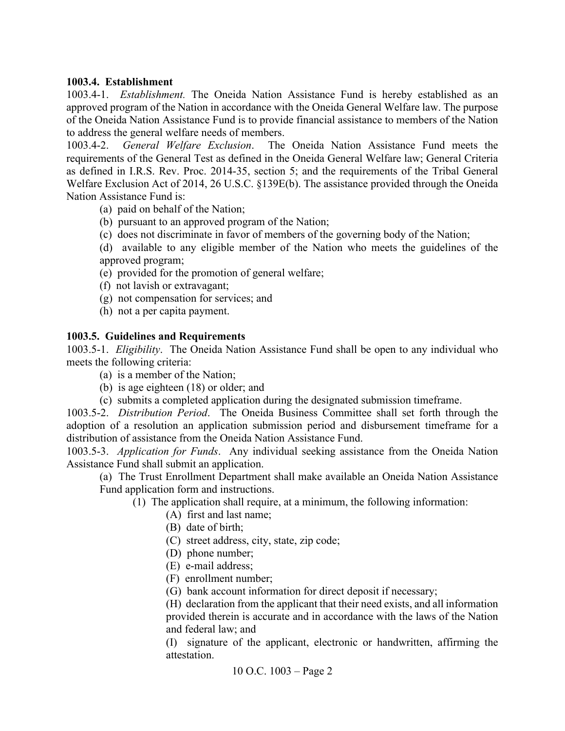# <span id="page-1-0"></span>**1003.4. Establishment**

1003.4-1. *Establishment.* The Oneida Nation Assistance Fund is hereby established as an approved program of the Nation in accordance with the Oneida General Welfare law. The purpose of the Oneida Nation Assistance Fund is to provide financial assistance to members of the Nation to address the general welfare needs of members.

1003.4-2. *General Welfare Exclusion*. The Oneida Nation Assistance Fund meets the requirements of the General Test as defined in the Oneida General Welfare law; General Criteria as defined in I.R.S. Rev. Proc. 2014-35, section 5; and the requirements of the Tribal General Welfare Exclusion Act of 2014, 26 U.S.C. §139E(b). The assistance provided through the Oneida Nation Assistance Fund is:

- (a) paid on behalf of the Nation;
- (b) pursuant to an approved program of the Nation;
- (c) does not discriminate in favor of members of the governing body of the Nation;
- (d) available to any eligible member of the Nation who meets the guidelines of the approved program;
- (e) provided for the promotion of general welfare;
- (f) not lavish or extravagant;
- (g) not compensation for services; and
- (h) not a per capita payment.

## <span id="page-1-1"></span>**1003.5. Guidelines and Requirements**

1003.5-1. *Eligibility*. The Oneida Nation Assistance Fund shall be open to any individual who meets the following criteria:

- (a) is a member of the Nation;
- (b) is age eighteen (18) or older; and
- (c) submits a completed application during the designated submission timeframe.

1003.5-2. *Distribution Period*. The Oneida Business Committee shall set forth through the adoption of a resolution an application submission period and disbursement timeframe for a distribution of assistance from the Oneida Nation Assistance Fund.

1003.5-3. *Application for Funds*. Any individual seeking assistance from the Oneida Nation Assistance Fund shall submit an application.

(a) The Trust Enrollment Department shall make available an Oneida Nation Assistance Fund application form and instructions.

(1) The application shall require, at a minimum, the following information:

- (A) first and last name;
- (B) date of birth;
- (C) street address, city, state, zip code;
- (D) phone number;
- (E) e-mail address;

(F) enrollment number;

(G) bank account information for direct deposit if necessary;

(H) declaration from the applicant that their need exists, and all information provided therein is accurate and in accordance with the laws of the Nation and federal law; and

(I) signature of the applicant, electronic or handwritten, affirming the attestation.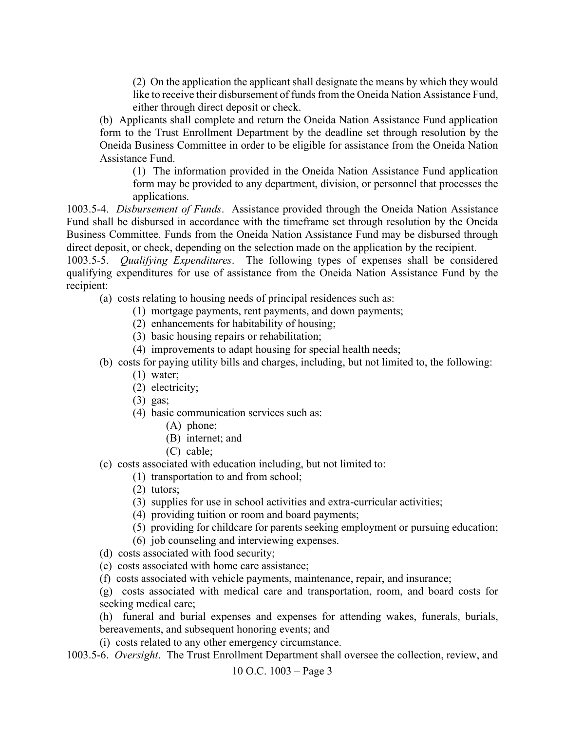(2) On the application the applicant shall designate the means by which they would like to receive their disbursement of funds from the Oneida Nation Assistance Fund, either through direct deposit or check.

(b) Applicants shall complete and return the Oneida Nation Assistance Fund application form to the Trust Enrollment Department by the deadline set through resolution by the Oneida Business Committee in order to be eligible for assistance from the Oneida Nation Assistance Fund.

(1) The information provided in the Oneida Nation Assistance Fund application form may be provided to any department, division, or personnel that processes the applications.

1003.5-4. *Disbursement of Funds*. Assistance provided through the Oneida Nation Assistance Fund shall be disbursed in accordance with the timeframe set through resolution by the Oneida Business Committee. Funds from the Oneida Nation Assistance Fund may be disbursed through direct deposit, or check, depending on the selection made on the application by the recipient.

1003.5-5. *Qualifying Expenditures*. The following types of expenses shall be considered qualifying expenditures for use of assistance from the Oneida Nation Assistance Fund by the recipient:

- (a) costs relating to housing needs of principal residences such as:
	- (1) mortgage payments, rent payments, and down payments;
	- (2) enhancements for habitability of housing;
	- (3) basic housing repairs or rehabilitation;
	- (4) improvements to adapt housing for special health needs;
- (b) costs for paying utility bills and charges, including, but not limited to, the following:
	- (1) water;
	- (2) electricity;
	- (3) gas;
	- (4) basic communication services such as:
		- (A) phone;
		- (B) internet; and
		- (C) cable;
- (c) costs associated with education including, but not limited to:
	- (1) transportation to and from school;
	- (2) tutors;
	- (3) supplies for use in school activities and extra-curricular activities;
	- (4) providing tuition or room and board payments;
	- (5) providing for childcare for parents seeking employment or pursuing education;
	- (6) job counseling and interviewing expenses.
- (d) costs associated with food security;
- (e) costs associated with home care assistance;
- (f) costs associated with vehicle payments, maintenance, repair, and insurance;
- (g) costs associated with medical care and transportation, room, and board costs for seeking medical care;
- (h) funeral and burial expenses and expenses for attending wakes, funerals, burials, bereavements, and subsequent honoring events; and
- (i) costs related to any other emergency circumstance.
- 1003.5-6. *Oversight*. The Trust Enrollment Department shall oversee the collection, review, and